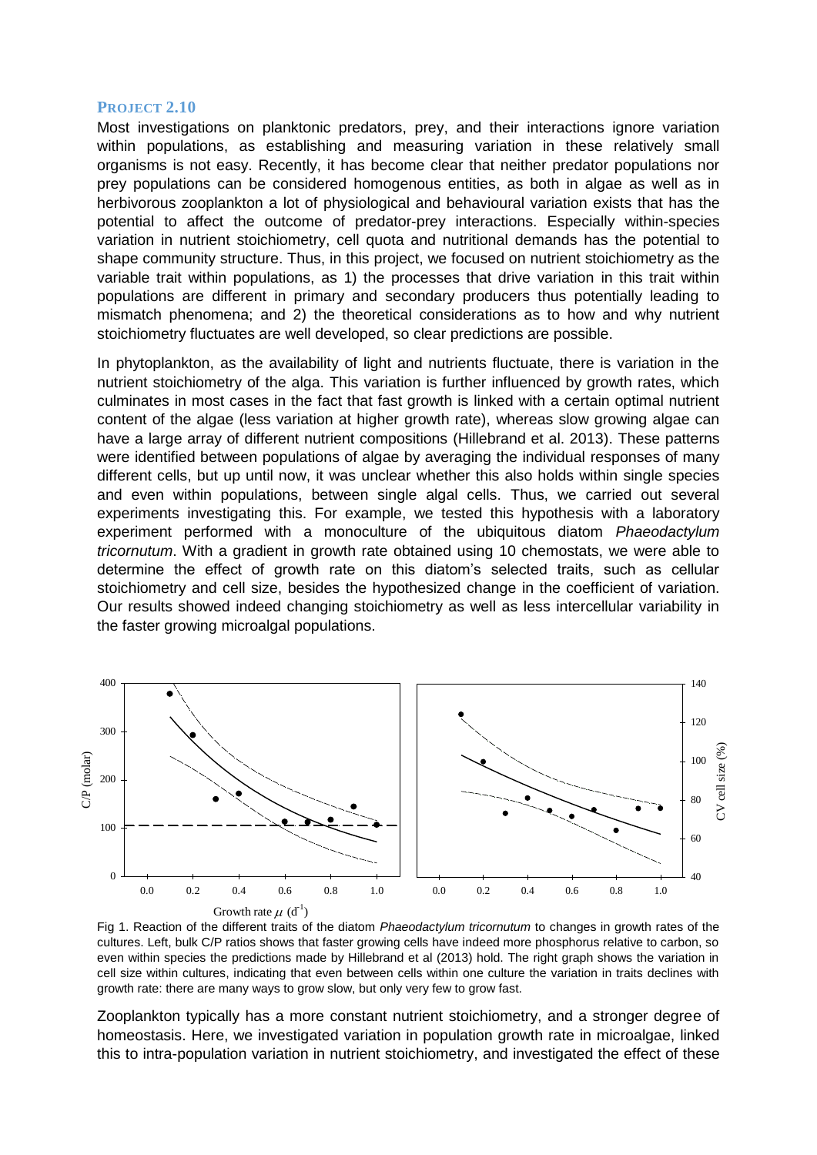## **PROJECT 2.10**

Most investigations on planktonic predators, prey, and their interactions ignore variation within populations, as establishing and measuring variation in these relatively small organisms is not easy. Recently, it has become clear that neither predator populations nor prey populations can be considered homogenous entities, as both in algae as well as in herbivorous zooplankton a lot of physiological and behavioural variation exists that has the potential to affect the outcome of predator-prey interactions. Especially within-species variation in nutrient stoichiometry, cell quota and nutritional demands has the potential to shape community structure. Thus, in this project, we focused on nutrient stoichiometry as the variable trait within populations, as 1) the processes that drive variation in this trait within populations are different in primary and secondary producers thus potentially leading to mismatch phenomena; and 2) the theoretical considerations as to how and why nutrient stoichiometry fluctuates are well developed, so clear predictions are possible.

In phytoplankton, as the availability of light and nutrients fluctuate, there is variation in the nutrient stoichiometry of the alga. This variation is further influenced by growth rates, which culminates in most cases in the fact that fast growth is linked with a certain optimal nutrient content of the algae (less variation at higher growth rate), whereas slow growing algae can have a large array of different nutrient compositions (Hillebrand et al. 2013). These patterns were identified between populations of algae by averaging the individual responses of many different cells, but up until now, it was unclear whether this also holds within single species and even within populations, between single algal cells. Thus, we carried out several experiments investigating this. For example, we tested this hypothesis with a laboratory experiment performed with a monoculture of the ubiquitous diatom *Phaeodactylum tricornutum*. With a gradient in growth rate obtained using 10 chemostats, we were able to determine the effect of growth rate on this diatom's selected traits, such as cellular stoichiometry and cell size, besides the hypothesized change in the coefficient of variation. Our results showed indeed changing stoichiometry as well as less intercellular variability in the faster growing microalgal populations.



Fig 1. Reaction of the different traits of the diatom *Phaeodactylum tricornutum* to changes in growth rates of the cultures. Left, bulk C/P ratios shows that faster growing cells have indeed more phosphorus relative to carbon, so even within species the predictions made by Hillebrand et al (2013) hold. The right graph shows the variation in cell size within cultures, indicating that even between cells within one culture the variation in traits declines with growth rate: there are many ways to grow slow, but only very few to grow fast.

Zooplankton typically has a more constant nutrient stoichiometry, and a stronger degree of homeostasis. Here, we investigated variation in population growth rate in microalgae, linked this to intra-population variation in nutrient stoichiometry, and investigated the effect of these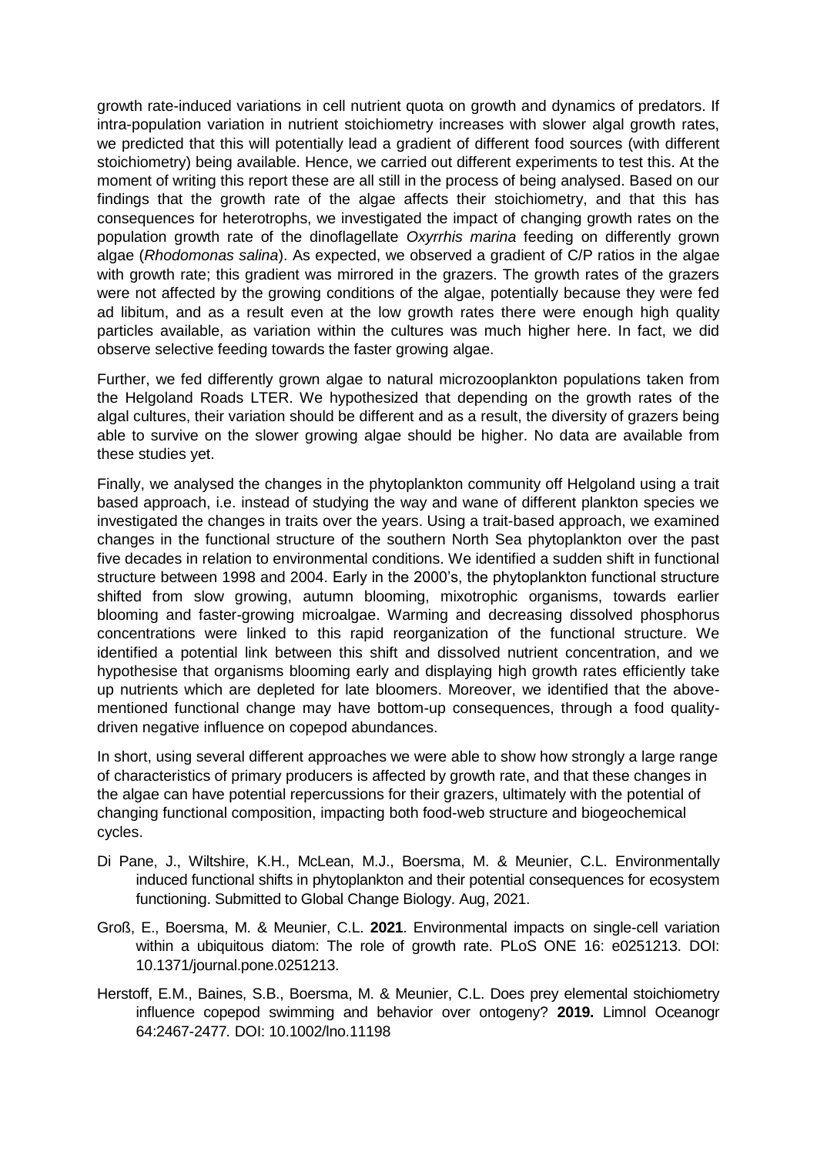growth rate-induced variations in cell nutrient quota on growth and dynamics of predators. If intra-population variation in nutrient stoichiometry increases with slower algal growth rates, we predicted that this will potentially lead a gradient of different food sources (with different stoichiometry) being available. Hence, we carried out different experiments to test this. At the moment of writing this report these are all still in the process of being analysed. Based on our findings that the growth rate of the algae affects their stoichiometry, and that this has consequences for heterotrophs, we investigated the impact of changing growth rates on the population growth rate of the dinoflagellate *Oxyrrhis marina* feeding on differently grown algae (*Rhodomonas salina*). As expected, we observed a gradient of C/P ratios in the algae with growth rate; this gradient was mirrored in the grazers. The growth rates of the grazers were not affected by the growing conditions of the algae, potentially because they were fed ad libitum, and as a result even at the low growth rates there were enough high quality particles available, as variation within the cultures was much higher here. In fact, we did observe selective feeding towards the faster growing algae.

Further, we fed differently grown algae to natural microzooplankton populations taken from the Helgoland Roads LTER. We hypothesized that depending on the growth rates of the algal cultures, their variation should be different and as a result, the diversity of grazers being able to survive on the slower growing algae should be higher. No data are available from these studies yet.

Finally, we analysed the changes in the phytoplankton community off Helgoland using a trait based approach, i.e. instead of studying the way and wane of different plankton species we investigated the changes in traits over the years. Using a trait-based approach, we examined changes in the functional structure of the southern North Sea phytoplankton over the past five decades in relation to environmental conditions. We identified a sudden shift in functional structure between 1998 and 2004. Early in the 2000's, the phytoplankton functional structure shifted from slow growing, autumn blooming, mixotrophic organisms, towards earlier blooming and faster-growing microalgae. Warming and decreasing dissolved phosphorus concentrations were linked to this rapid reorganization of the functional structure. We identified a potential link between this shift and dissolved nutrient concentration, and we hypothesise that organisms blooming early and displaying high growth rates efficiently take up nutrients which are depleted for late bloomers. Moreover, we identified that the abovementioned functional change may have bottom-up consequences, through a food qualitydriven negative influence on copepod abundances.

In short, using several different approaches we were able to show how strongly a large range of characteristics of primary producers is affected by growth rate, and that these changes in the algae can have potential repercussions for their grazers, ultimately with the potential of changing functional composition, impacting both food-web structure and biogeochemical cycles.

- Di Pane, J., Wiltshire, K.H., McLean, M.J., Boersma, M. & Meunier, C.L. Environmentally induced functional shifts in phytoplankton and their potential consequences for ecosystem functioning. Submitted to Global Change Biology. Aug, 2021.
- Groß, E., Boersma, M. & Meunier, C.L. **2021**. Environmental impacts on single-cell variation within a ubiquitous diatom: The role of growth rate. PLoS ONE 16: e0251213. DOI: 10.1371/journal.pone.0251213.
- Herstoff, E.M., Baines, S.B., Boersma, M. & Meunier, C.L. Does prey elemental stoichiometry influence copepod swimming and behavior over ontogeny? **2019.** Limnol Oceanogr 64:2467-2477*.* DOI: 10.1002/lno.11198